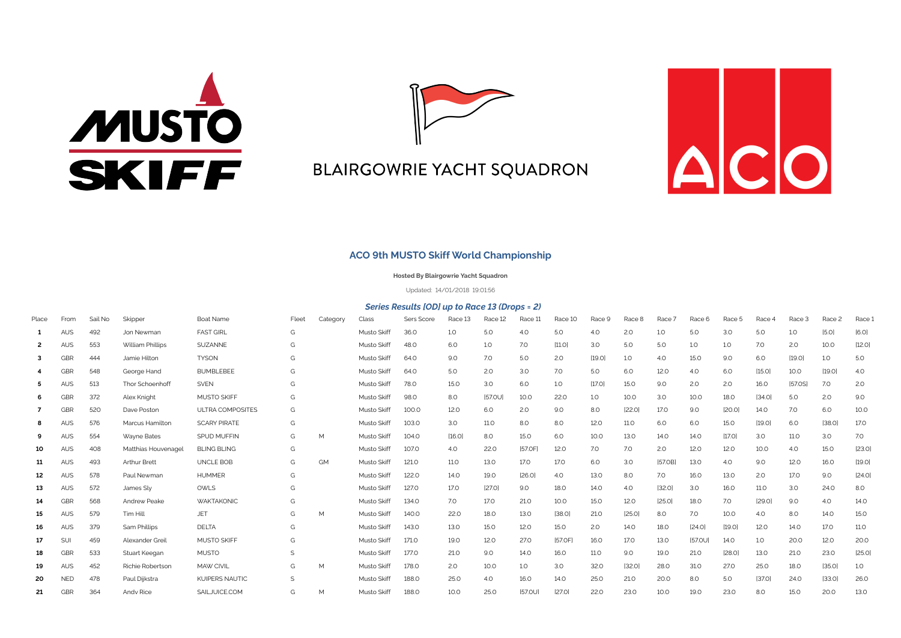



## **BLAIRGOWRIE YACHT SQUADRON**



## **ACO 9th MUSTO Skiff World Championship**

**Hosted By Blairgowrie Yacht Squadron**

Updated: 14/01/2018 19:01:56

## *Series Results [OD] up to Race 13 (Drops = 2)*

| Place          | From       | Sail No | Skipper             | Boat Name               | Fleet | Category | Class       | Sers Score   | Race 13 | Race 12     | Race 11        | Race 10     | Race 9 | Race 8           | Race 7      | Race 6         | Race 5      | Race 4      | Race 3      | Race 2 | Race 1      |
|----------------|------------|---------|---------------------|-------------------------|-------|----------|-------------|--------------|---------|-------------|----------------|-------------|--------|------------------|-------------|----------------|-------------|-------------|-------------|--------|-------------|
| 1              | <b>AUS</b> | 492     | Jon Newman          | <b>FAST GIRL</b>        | G     |          | Musto Skiff | 36.0         | 1.0     | 5.0         | 4.0            | 5.0         | 4.0    | 2.0              | 1.0         | 5.0            | 3.0         | 5.0         | 1.0         | [5.0]  | [6.0]       |
| $\overline{2}$ | <b>AUS</b> | 553     | William Phillips    | SUZANNE                 | G     |          | Musto Skiff | 48.O         | 6.0     | 1.0         | 7.0            | [11.0]      | 3.0    | 5.0              | 5.0         | 1.0            | 1.0         | 7.0         | 2.0         | 10.0   | [12.0]      |
| 3              | GBR        | 444     | Jamie Hilton        | <b>TYSON</b>            | G     |          | Musto Skiff | 64.O         | 9.0     | 7.0         | 5.0            | 2.0         | [19.0] | 1.0              | 4.0         | 15.0           | 9.0         | 6.0         | [19.0]      | 1.0    | 5.0         |
|                | GBR        | 548     | George Hand         | <b>BUMBLEBEE</b>        | G     |          | Musto Skiff | 64.0         | 5.0     | 2.0         | 3.0            | 7.0         | 5.0    | 6.0              | 12.0        | 4.0            | 6.0         | [15.0]      | 10.0        | [19.0] | 4.0         |
| 5              | <b>AUS</b> | 513     | Thor Schoenhoff     | <b>SVEN</b>             | G     |          | Musto Skiff | 78.0         | 15.0    | 3.0         | 6.0            | 1.0         | [17.0] | 15.0             | 9.0         | 2.0            | 2.0         | 16.0        | [57.0S]     | 7.0    | 2.0         |
| 6              | GBR        | 372     | Alex Knight         | <b>MUSTO SKIFF</b>      | G     |          | Musto Skiff | 98.0         | 8.0     | [57.0U]     | 10.0           | 22.0        | 1.0    | 10.0             | 3.0         | 10.0           | <b>18.0</b> | [34.0]      | 5.0         | 2.0    | 9.0         |
| 7              | GBR        | 520     | Dave Poston         | <b>ULTRA COMPOSITES</b> | G     |          | Musto Skiff | 100.0        | 12.0    | 6.0         | 2.0            | 9.0         | 8.0    | [22.0]           | 17.0        | 9.0            | [20.0]      | 14.O        | 7.0         | 6.0    | 10.0        |
| 8              | <b>AUS</b> | 576     | Marcus Hamilton     | <b>SCARY PIRATE</b>     | G     |          | Musto Skiff | 103.0        | 3.0     | 11.0        | 8.0            | 8.0         | 12.0   | 11.0             | 6.0         | 6.0            | 15.0        | [19.0]      | 6.0         | [38.0] | 17.0        |
| 9              | <b>AUS</b> | 554     | Wayne Bates         | <b>SPUD MUFFIN</b>      | G     | M        | Musto Skiff | 104.0        | [16.0]  | 8.0         | 15.0           | 6.0         | 10.0   | 13.0             | 14.O        | 14.0           | [17.0]      | 3.0         | 11.0        | 3.0    | 7.0         |
| 10             | <b>AUS</b> | 408     | Matthias Houvenagel | <b>BLING BLING</b>      | G     |          | Musto Skiff | 107.0        | 4.0     | 22.0        | [57.0F]        | 12.0        | 7.0    | 7.0              | 2.0         | 12.0           | 12.0        | 10.0        | 4.0         | 15.0   | [23.0]      |
| 11             | <b>AUS</b> | 493     | Arthur Brett        | UNCLE BOB               | G     | GM       | Musto Skiff | 121.0        | 11.O    | 13.0        | <b>17.0</b>    | 17.0        | 6.0    | 3.0 <sub>2</sub> | [57.0B]     | 13.0           | 4.O         | 9.0         | 12.0        | 16.0   | [19.0]      |
| 12             | <b>AUS</b> | 578     | Paul Newman         | <b>HUMMER</b>           | G     |          | Musto Skiff | 122.0        | 14.0    | 19.0        | [26.0]         | 4.0         | 13.0   | 8.0              | 7.0         | 16.0           | 13.0        | 2.0         | 17.0        | 9.0    | [24.0]      |
| 13             | <b>AUS</b> | 572     | James Sly           | OWLS                    | G     |          | Musto Skiff | 127.0        | 17.0    | [27.0]      | 9.0            | <b>18.0</b> | 14.0   | 4.0              | [32.0]      | 3.0            | 16.0        | <b>11.0</b> | 3.0         | 24.0   | 8.0         |
| 14             | GBR        | 568     | Andrew Peake        | WAKTAKONIC              | G     |          | Musto Skiff | 134.0        | 7.0     | <b>17.0</b> | 21.0           | 10.0        | 15.0   | 12.0             | [25.0]      | 18.0           | 7.0         | [29.0]      | 9.0         | 4.0    | 14.0        |
| 15             | <b>AUS</b> | 579     | Tim Hill            | <b>JET</b>              | G     | M        | Musto Skiff | 140.0        | 22.0    | <b>18.0</b> | 13.0           | [38.0]      | 21.0   | [25.0]           | 8.0         | 7.0            | 10.0        | 4.0         | 8.0         | 14.O   | 15.0        |
| 16             | <b>AUS</b> | 379     | Sam Phillips        | <b>DELTA</b>            | G     |          | Musto Skiff | 143.0        | 13.0    | 15.0        | 12.0           | 15.0        | 2.0    | <b>14.0</b>      | <b>18.0</b> | [24.0]         | [19.0]      | 12.0        | <b>14.0</b> | 17.0   | <b>11.0</b> |
| 17             | SUI        | 459     | Alexander Greil     | <b>MUSTO SKIFF</b>      | G     |          | Musto Skiff | <b>171.0</b> | 19.0    | 12.0        | 27.0           | [57.0F]     | 16.0   | 17.0             | 13.0        | <b>157.0UI</b> | 14.0        | 1.0         | 20.0        | 12.0   | 20.0        |
| 18             | GBR        | 533     | Stuart Keegan       | <b>MUSTO</b>            | S     |          | Musto Skiff | 177.0        | 21.0    | 9.0         | 14.0           | 16.0        | 11.0   | 9.0              | 19.0        | 21.0           | [28.0]      | 13.0        | 21.0        | 23.0   | [25.0]      |
| 19             | <b>AUS</b> | 452     | Richie Robertson    | MAW CIVIL               | G     | M        | Musto Skiff | 178.0        | 2.0     | 10.0        | 1.0            | 3.0         | 32.0   | [32.0]           | 28.0        | 31.0           | 27.0        | 25.0        | 18.0        | [35.0] | 1.0         |
| 20             | <b>NED</b> | 478     | Paul Diikstra       | KUIPERS NAUTIC          | S     |          | Musto Skiff | 188.0        | 25.0    | 4.O         | 16.0           | 14.0        | 25.0   | 21.0             | 20.0        | 8.0            | 5.0         | [37.0]      | 24.0        | [33.0] | 26.0        |
| 21             | GBR        | 364     | Andy Rice           | SAIL JUICE COM          | G     | M        | Musto Skiff | 188.0        | 10.0    | 25.0        | <b>157.0UI</b> | [27.0]      | 22.0   | 23.0             | 10.0        | 19.0           | 23.0        | 8.0         | 15.0        | 20.0   | 13.0        |
|                |            |         |                     |                         |       |          |             |              |         |             |                |             |        |                  |             |                |             |             |             |        |             |